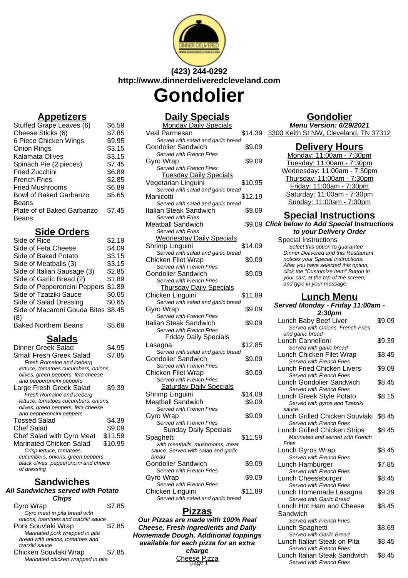

# **(423) 244-0292 http://www.dinnerdeliveredcleveland.com Gondolier**

# **Appetizers**

| Stuffed Grape Leaves (6)      | \$6.59 |
|-------------------------------|--------|
| Cheese Sticks (6)             | \$7.85 |
| 6 Piece Chicken Wings         | \$9.95 |
| Onion Rings                   | \$3.15 |
| Kalamata Olives               | \$3.15 |
| Spinach Pie (2 pieces)        | \$7.45 |
| <b>Fried Zucchini</b>         | \$6.89 |
| <b>French Fries</b>           | \$2.85 |
| <b>Fried Mushrooms</b>        | \$6.89 |
| <b>Bowl of Baked Garbanzo</b> | \$5.65 |
| Beans                         |        |
| Plate of of Baked Garbanzo    | \$7.45 |
| Beans                         |        |

## **Side Orders**

| Side of Rice                        | \$2.19 |
|-------------------------------------|--------|
| Side of Feta Cheese                 | \$4.09 |
| Side of Baked Potato                | \$3.15 |
| Side of Meatballs (3)               | \$3.15 |
| Side of Italian Sausage (3)         | \$2.85 |
| Side of Garlic Bread (2)            | \$1.89 |
| Side of Pepperoncini Peppers        | \$1.89 |
| Side of Tzatziki Sauce              | \$0.65 |
| Side of Salad Dressing              | \$0.65 |
| Side of Macaroni Gouda Bites \$8.45 |        |
| (8)                                 |        |
| <b>Baked Northern Beans</b>         | \$5.69 |

## **Salads**

| Dinner Greek Salad                    | \$4.95  |
|---------------------------------------|---------|
| Small Fresh Greek Salad               | \$7.85  |
| Fresh Romaine and iceberg             |         |
| lettuce, tomatoes cucumbers, onions,  |         |
| olives, green peppers, feta cheese    |         |
| and pepperoncini peppers              |         |
| Large Fresh Greek Salad               | \$9.39  |
| Fresh Romaine and iceberg             |         |
| lettuce, tomatoes cucumbers, onions,  |         |
| olives, green peppers, feta cheese    |         |
| and pepperoncini peppers              |         |
| <b>Tossed Salad</b>                   | \$4.39  |
| Chef Salad                            | \$9.09  |
| Chef Salad with Gyro Meat             | \$11.59 |
| Marinated Chicken Salad               | \$10.95 |
| Crisp lettuce, tomatoes,              |         |
| cucumbers, onions, green peppers,     |         |
| black olives, pepperoncini and choice |         |
| of dressing                           |         |
|                                       |         |

## **Sandwiches**

#### **All Sandwiches served with Potato Chips**

| Gyro Wrap                           | \$7.85 |
|-------------------------------------|--------|
| Gyro meat in pita bread with        |        |
| onions, toamtoes and tzatziki sauce |        |
| Pork Souvlaki Wrap                  | \$7.85 |
| Marinated pork wrapped in pita      |        |
| bread with onions, tomatoes and     |        |
| tzatziki sauce                      |        |
| Chicken Souvlaki Wrap               | \$7.85 |
| Marinated chicken wrapped in pita   |        |

# **Daily Specials**

| <u>Dany Opeciais</u>                                                   |         |
|------------------------------------------------------------------------|---------|
| <b>Monday Daily Specials</b>                                           |         |
| Veal Parmesan                                                          | \$14.39 |
| Served with salad and garlic bread<br><b>Gondolier Sandwich</b>        | \$9.09  |
| Served with French Fries                                               |         |
| Gyro Wrap                                                              | \$9.09  |
| Served with French Fries                                               |         |
| <b>Tuesday Daily Specials</b>                                          |         |
| Vegetarian Linguini                                                    | \$10.95 |
| Served with salad and garlic bread                                     |         |
| Manicotti                                                              | \$12.19 |
| Served with salad and garlic bread                                     |         |
| <b>Italian Steak Sandwich</b>                                          | \$9.09  |
| Served with Fries                                                      |         |
| <b>Meatball Sandwich</b>                                               | \$9.09  |
| Served with Fries                                                      |         |
| <b>Wednesday Daily Specials</b>                                        |         |
| Shrimp Linguini                                                        | \$14.09 |
| Served with salad and garlic bread                                     |         |
| <b>Chicken Filet Wrap</b>                                              | \$9.09  |
| Served with French Fries                                               |         |
| <b>Gondolier Sandwich</b>                                              | \$9.09  |
| Served with French Fries                                               |         |
| <b>Thursday Daily Specials</b>                                         |         |
| Chicken Linguini                                                       | \$11.89 |
| Served with salad and garlic bread                                     |         |
| Gyro Wrap                                                              | \$9.09  |
| Served with French Fries                                               |         |
| Italian Steak Sandwich                                                 | \$9.09  |
| Served with French Fries                                               |         |
| <b>Friday Daily Specials</b>                                           |         |
| Lasagna                                                                | \$12.85 |
| Served with salad and garlic bread                                     |         |
| <b>Gondolier Sandwich</b>                                              | \$9.09  |
| Served with French Fries                                               |         |
| <b>Chicken Filet Wrap</b>                                              | \$9.09  |
| Served with French Fries                                               |         |
| <b>Saturday Daily Specials</b>                                         |         |
| Shrimp Linguini                                                        | \$14.09 |
| <b>Meatball Sandwich</b>                                               | \$9.09  |
| Served with French Fries                                               |         |
| Gyro Wrap                                                              | \$9.09  |
| Served with French Fries                                               |         |
| <b>Sunday Daily Specials</b>                                           |         |
| Spaghetti                                                              | \$11.59 |
| with meatballs, mushrooms, meat<br>sauce. Served with salad and garlic |         |
| bread                                                                  |         |
| <b>Gondolier Sandwich</b>                                              | \$9.09  |
| Served with French Fries                                               |         |
| Gyro Wrap                                                              | \$9.09  |
| Served with French Fries                                               |         |
| Chicken Linguini                                                       | \$11.89 |
| Served with salad and garlic bread                                     |         |
|                                                                        |         |

## **Pizzas**

**Our Pizzas are made with 100% Real Cheese, Fresh ingredients and Daily Homemade Dough. Additional toppings available for each pizza for an extra charge** Cheese Pizza

# **Gondolier**

**Menu Version: 6/29/2021** 3300 Keith St NW, Cleveland, TN 37312

#### **Delivery Hours**

Monday: 11:00am - 7:30pm Tuesday: 11:00am - 7:30pm Wednesday: 11:00am - 7:30pm Thursday: 11:00am - 7:30pm Friday: 11:00am - 7:30pm Saturday: 11:00am - 7:30pm Sunday: 11:00am - 7:30pm

## **Special Instructions**

**Click below to Add Special Instructions to your Delivery Order**

Special Instructions Select this option to quarantee Dinner Delivered and this Restaurant notices your Special Instructions. After you have selected this option, click the "Customize Item" Button in your cart, at the top of the screen, and type in your message.

#### **Lunch Menu**

#### **Served Monday - Friday 11:00am - 2:30pm**

| Lunch Baby Beef Liver<br>Served with Onions, French Fries | \$9.09 |
|-----------------------------------------------------------|--------|
| and garlic bread                                          |        |
| Lunch Cannelloni                                          | \$9.39 |
| Served with garlic bread                                  |        |
| Lunch Chicken Filet Wrap                                  | \$8.45 |
| Served with French Fries                                  |        |
| <b>Lunch Fried Chicken Livers</b>                         | \$9.09 |
| Served with French Fries                                  |        |
| Lunch Gondolier Sandwich                                  | \$8.45 |
| Served with French Fries                                  |        |
| Lunch Greek Style Potato                                  | \$8.15 |
| Served with gyros and Tzatziki                            |        |
| sauce                                                     |        |
| Lunch Grilled Chicken Souvlaki                            | \$8.45 |
| <b>Served with French Fries</b>                           |        |
| Lunch Grilled Chicken Strips                              | \$8.45 |
| Marinated and served with French                          |        |
| Fries                                                     |        |
| Lunch Gyros Wrap                                          | \$8.45 |
| Served with French Fries                                  |        |
| Lunch Hamburger                                           | \$7.85 |
| Served with French Fries                                  |        |
| Lunch Cheeseburger                                        | \$8.45 |
| Served with French Fries                                  |        |
| Lunch Homemade Lasagna                                    | \$9.39 |
| Served with Garlic Bread                                  |        |
| Lunch Hot Ham and Cheese                                  | \$8.45 |
| Sandwich                                                  |        |
| <b>Served with French Fries</b>                           |        |
| Lunch Spaghetti                                           | \$8.69 |
| Served with Garlic Bread                                  |        |
| Lunch Italian Steak on Pita                               | \$8.45 |
| Served with French Fries                                  |        |
| Lunch Italian Steak Sandwich                              | \$8.45 |
| Served with French Fries                                  |        |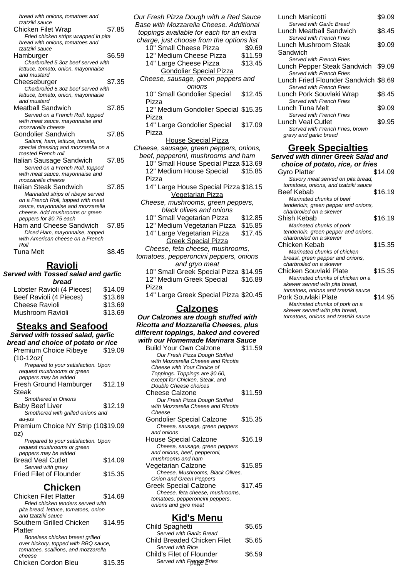| bread with onions, tomatoes and      |        |
|--------------------------------------|--------|
| tzatziki sauce                       |        |
| <b>Chicken Filet Wrap</b>            | \$7.85 |
| Fried chicken strips wrapped in pita |        |
| bread with onions, tomatoes and      |        |
| tzatziki sauce                       |        |
| Hamburger                            | \$6.59 |
| Charbroiled 5.3oz beef served with   |        |
| lettuce, tomato, onion, mayonnaise   |        |
| and mustard                          |        |
| Cheeseburger                         | \$7.35 |
| Charbroiled 5.3oz beef served with   |        |
| lettuce, tomato, onion, mayonnaise   |        |
| and mustard                          |        |
| Meatball Sandwich                    | \$7.85 |
| Served on a French Roll, topped      |        |
| with meat sauce, mayonnaise and      |        |
| mozzarella cheese                    |        |
| Gondolier Sandwich                   | \$7.85 |
| Salami, ham, lettuce, tomato,        |        |
| special dressing and mozzarella on a |        |
| toasted French roll                  |        |
| Italian Sausage Sandwich             | \$7.85 |
| Served on a French Roll, topped      |        |
| with meat sauce, mayonnaise and      |        |
| mozzarella cheese                    |        |
| Italian Steak Sandwich               | \$7.85 |
| Marinated strips of ribeye served    |        |
| on a French Roll, topped with meat   |        |
| sauce, mayonnaise and mozzarella     |        |
| cheese. Add mushrooms or green       |        |
| peppers for \$0.75 each              |        |
| Ham and Cheese Sandwich              | \$7.85 |
| Diced Ham, mayonnaise, topped        |        |
| with American cheese on a French     |        |
| Roll                                 |        |
| Tuna Melt                            | \$8.45 |

# **Ravioli**

**Served with Tossed salad and garlic bread**

| Lobster Ravioli (4 Pieces) | \$14.09 |
|----------------------------|---------|
| Beef Ravioli (4 Pieces)    | \$13.69 |
| <b>Cheese Ravioli</b>      | \$13.69 |
| Mushroom Ravioli           | \$13.69 |
|                            |         |

### **Steaks and Seafood Served with tossed salad, garlic**

**bread and choice of potato or rice** Premium Choice Ribeye  $$19.09$ 

| LIAIIIIIII OHOICE UIDEAE            | ง ⊦ອ.ບອ |
|-------------------------------------|---------|
| (10-12oz(                           |         |
| Prepared to your satisfaction. Upon |         |
| request mushrooms or green          |         |
| peppers may be added                |         |
| Fresh Ground Hamburger              | \$12.19 |
| Steak                               |         |
| <b>Smothered in Onions</b>          |         |
| Baby Beef Liver                     | \$12.19 |
| Smothered with grilled onions and   |         |
| au-jus                              |         |
| Premium Choice NY Strip (10\$19.09  |         |
| oz)                                 |         |
| Prepared to your satisfaction. Upon |         |
| request mushrooms or green          |         |
| peppers may be added                |         |
| <b>Bread Veal Cutlet</b>            | \$14.09 |
| Served with gravy                   |         |
| <b>Fried Filet of Flounder</b>      | \$15.35 |

# **Chicken**

| Chicken Filet Platter                | \$14.69 |
|--------------------------------------|---------|
| Fried chicken tenders served with    |         |
| pita bread, lettuce, tomatoes, onion |         |
| and tzatziki sauce                   |         |
| Southern Grilled Chicken             | \$14.95 |
| Platter                              |         |
| Boneless chicken breast grilled      |         |
| over hickory, topped with BBQ sauce, |         |
| tomatoes, scallions, and mozzarella  |         |
| cheese                               |         |
| Chicken Cordon Bleu                  | \$15.35 |
|                                      |         |

| Our Fresh Pizza Dough with a Red Sauce                              |         |
|---------------------------------------------------------------------|---------|
| Base with Mozzarella Cheese. Additional                             |         |
| toppings available for each for an extra                            |         |
| charge, just choose from the options list                           |         |
| 10" Small Cheese Pizza                                              | \$9.69  |
| 12" Medium Cheese Pizza                                             | \$11.59 |
| 14" Large Cheese Pizza                                              | \$13.45 |
|                                                                     |         |
| <b>Gondolier Special Pizza</b>                                      |         |
| Cheese, sausage, green peppers and                                  |         |
| onions                                                              |         |
| 10" Small Gondolier Special                                         | \$12.45 |
| Pizza                                                               |         |
| 12" Medium Gondolier Special                                        | \$15.35 |
| Pizza                                                               |         |
| 14" Large Gondolier Special                                         | \$17.09 |
| Pizza                                                               |         |
|                                                                     |         |
| <b>House Special Pizza</b>                                          |         |
| Cheese, sausage, green peppers, onions,                             |         |
| beef, pepperoni, mushrooms and ham                                  |         |
| 10" Small House Special Pizza \$13.69                               |         |
| 12" Medium House Special                                            | \$15.85 |
| Pizza                                                               |         |
| 14" Large House Special Pizza \$18.15                               |         |
| Vegetarian Pizza                                                    |         |
| Cheese, mushrooms, green peppers,                                   |         |
| black olives and onions                                             |         |
| 10" Small Vegetarian Pizza                                          | \$12.85 |
|                                                                     |         |
| 12" Medium Vegetarian Pizza                                         | \$15.85 |
| 14" Large Vegetarian Pizza                                          | \$17.45 |
| <b>Greek Special Pizza</b>                                          |         |
| Cheese, feta cheese, mushrooms,                                     |         |
| tomatoes, pepperoncini peppers, onions                              |         |
| and gryo meat                                                       |         |
| 10" Small Greek Special Pizza \$14.95                               |         |
| 12" Medium Greek Special                                            | \$16.89 |
| Pizza                                                               |         |
| 14" Large Greek Special Pizza \$20.45                               |         |
|                                                                     |         |
| <b>Calzones</b>                                                     |         |
| Our Calzones are dough stuffed with                                 |         |
| <b>Ricotta and Mozzarella Cheeses, plus</b>                         |         |
| different toppings, baked and covered                               |         |
| with our Homemade Marinara Sauce                                    |         |
|                                                                     |         |
| <b>Build Your Own Calzone</b>                                       | \$11.59 |
| Our Fresh Pizza Dough Stuffed<br>with Mozzarella Cheese and Ricotta |         |
| Cheese with Your Choice of                                          |         |
| Toppings. Toppings are \$0.60,                                      |         |
| except for Chicken, Steak, and                                      |         |
| Double Cheese choices                                               |         |
| <b>Cheese Calzone</b>                                               | \$11.59 |

- Our Fresh Pizza Dough Stuffed with Mozzarella Cheese and Ricotta Cheese Gondolier Special Calzone \$15.35 Cheese, sausage, green peppers and onions House Special Calzone \$16.19 Cheese, sausage, green peppers and onions, beef, pepperoni, mushrooms and ham Vegetarian Calzone \$15.85
- Cheese, Mushrooms, Black Olives, Onion and Green Peppers Greek Special Calzone \$17.45
- Cheese, feta cheese, mushrooms, tomatoes, pepperoncini peppers, onions and gyro meat

## **Kid's Menu**

| Child Spaghetti             | \$5.65 |
|-----------------------------|--------|
| Served with Garlic Bread    |        |
| Child Breaded Chicken Filet | \$5.65 |
| Served with Rice            |        |
| Child's Filet of Flounder   | \$6.59 |
| Served with France Fries    |        |
|                             |        |

| Lunch Manicotti                      | \$9.09 |
|--------------------------------------|--------|
| Served with Garlic Bread             |        |
| Lunch Meatball Sandwich              | \$8.45 |
| Served with French Fries             |        |
| Lunch Mushroom Steak                 | \$9.09 |
| Sandwich                             |        |
| Served with French Fries             |        |
| Lunch Pepper Steak Sandwich \$9.09   |        |
| Served with French Fries             |        |
| Lunch Fried Flounder Sandwich \$8.69 |        |
| Served with French Fries             |        |
| Lunch Pork Souvlaki Wrap             | \$8.45 |
| Served with French Fries             |        |
| Lunch Tuna Melt                      | \$9.09 |
| Served with French Fries             |        |
| Lunch Veal Cutlet                    | \$9.95 |
| Served with French Fries, brown      |        |

## **Greek Specialties**

gravy and garlic bread

| Served with dinner Greek Salad and   |         |  |
|--------------------------------------|---------|--|
| choice of potato, rice, or fries     |         |  |
| Gyro Platter                         | \$14.09 |  |
| Savory meat served on pita bread,    |         |  |
| tomatoes, onions, and tzatziki sauce |         |  |
| Beef Kebab                           | \$16.19 |  |
| Marinated chunks of beef             |         |  |
| tenderloin, green pepper and onions, |         |  |
| charbroiled on a skewer              |         |  |
| Shish Kebab                          | \$16.19 |  |
| Marinated chunks of pork             |         |  |
| tenderloin, green pepper and onions, |         |  |
| charbroiled on a skewer              |         |  |
| Chicken Kebab                        | \$15.35 |  |
| Marinated chunks of chicken          |         |  |
| breast, green pepper and onions,     |         |  |
| charbroiled on a skewer              |         |  |
| Chicken Souvlaki Plate               | \$15.35 |  |
| Marinated chunks of chicken on a     |         |  |
| skewer served with pita bread,       |         |  |
| tomatoes, onions and tzatziki sauce  |         |  |
| Pork Souvlaki Plate                  | \$14.95 |  |
| Marinated chunks of pork on a        |         |  |
| skewer served with pita bread,       |         |  |
| tomatoes, onions and tzatziki sauce  |         |  |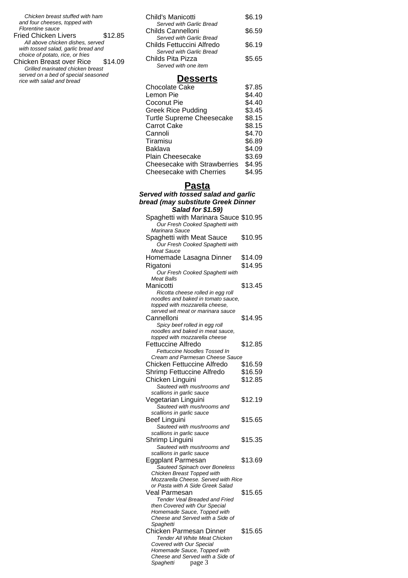Chicken breast stuffed with ham and four cheeses, topped with Florentine sauce

| Fried Chicken Livers                | \$12.85 |
|-------------------------------------|---------|
| All above chicken dishes, served    |         |
| with tossed salad, garlic bread and |         |
| choice of potato, rice, or fries    |         |
| Chicken Breast over Rice            | \$14.09 |

Grilled marinated chicken breast served on a bed of special seasoned rice with salad and bread

| Child's Manicotti                                     | \$6.19 |
|-------------------------------------------------------|--------|
| Served with Garlic Bread<br>Childs Cannelloni         | \$6.59 |
| Served with Garlic Bread<br>Childs Fettuccini Alfredo | \$6.19 |
| Served with Garlic Bread<br>Childs Pita Pizza         | \$5.65 |
| Served with one item                                  |        |

## **Desserts**

| <b>Chocolate Cake</b>           | \$7.85 |
|---------------------------------|--------|
| Lemon Pie                       | \$4.40 |
| Coconut Pie                     | \$4.40 |
| <b>Greek Rice Pudding</b>       | \$3.45 |
| Turtle Supreme Cheesecake       | \$8.15 |
| <b>Carrot Cake</b>              | \$8.15 |
| Cannoli                         | \$4.70 |
| Tiramisu                        | \$6.89 |
| Baklava                         | \$4.09 |
| <b>Plain Cheesecake</b>         | \$3.69 |
| Cheesecake with Strawberries    | \$4.95 |
| <b>Cheesecake with Cherries</b> | \$4.95 |

## **Pasta**

| bread (may substitute Greek Dinner                                       |
|--------------------------------------------------------------------------|
|                                                                          |
| Salad for \$1.59)                                                        |
| Spaghetti with Marinara Sauce \$10.95<br>Our Fresh Cooked Spaghetti with |
| Marinara Sauce                                                           |
| \$10.95<br>Spaghetti with Meat Sauce                                     |
| Our Fresh Cooked Spaghetti with                                          |
| Meat Sauce                                                               |
| Homemade Lasagna Dinner<br>\$14.09                                       |
| \$14.95<br>Rigatoni                                                      |
| Our Fresh Cooked Spaghetti with                                          |
| Meat Balls                                                               |
| \$13.45<br>Manicotti                                                     |
| Ricotta cheese rolled in egg roll                                        |
| noodles and baked in tomato sauce.<br>topped with mozzarella cheese,     |
| served wit meat or marinara sauce                                        |
| \$14.95<br>Cannelloni                                                    |
| Spicy beef rolled in egg roll                                            |
| noodles and baked in meat sauce,                                         |
| topped with mozzarella cheese                                            |
| Fettuccine Alfredo<br>\$12.85                                            |
| Fettuccine Noodles Tossed In                                             |
| Cream and Parmesan Cheese Sauce                                          |
| \$16.59<br>Chicken Fettuccine Alfredo                                    |
| \$16.59<br>Shrimp Fettuccine Alfredo                                     |
| \$12.85<br>Chicken Linguini                                              |
| Sauteed with mushrooms and                                               |
| scallions in garlic sauce                                                |
| \$12.19<br>Vegetarian Linguini                                           |
| Sauteed with mushrooms and                                               |
| scallions in garlic sauce<br><b>Beef Linguini</b><br>\$15.65             |
| Sauteed with mushrooms and                                               |
| scallions in garlic sauce                                                |
| \$15.35<br>Shrimp Linguini                                               |
| Sauteed with mushrooms and                                               |
| scallions in garlic sauce                                                |
| \$13.69<br>Eggplant Parmesan                                             |
| Sauteed Spinach over Boneless                                            |
| Chicken Breast Topped with                                               |
| Mozzarella Cheese. Served with Rice                                      |
| or Pasta with A Side Greek Salad<br>\$15.65<br>Veal Parmesan             |
| Tender Veal Breaded and Fried                                            |
| then Covered with Our Special                                            |
| Homemade Sauce, Topped with                                              |
| Cheese and Served with a Side of                                         |
| Spaghetti                                                                |
| <b>Chicken Parmesan Dinner</b><br>\$15.65                                |
| Tender All White Meat Chicken                                            |
| Covered with Our Special                                                 |
| Homemade Sauce, Topped with<br>Cheese and Served with a Side of          |
| page 3<br>Spaghetti                                                      |